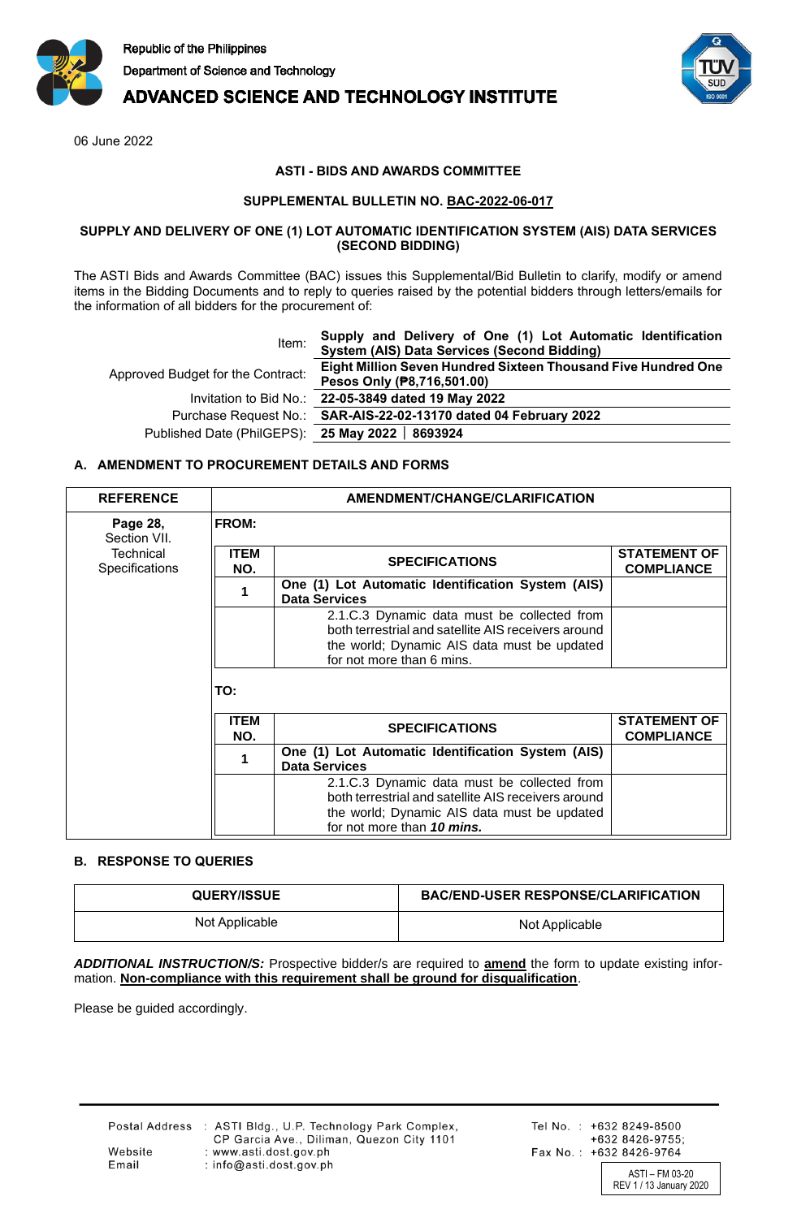

# **ADVANCED SCIENCE AND TECHNOLOGY INSTITUTE**

06 June 2022

### **ASTI - BIDS AND AWARDS COMMITTEE**

### **SUPPLEMENTAL BULLETIN NO. BAC-2022-06-017**

#### **SUPPLY AND DELIVERY OF ONE (1) LOT AUTOMATIC IDENTIFICATION SYSTEM (AIS) DATA SERVICES (SECOND BIDDING)**

The ASTI Bids and Awards Committee (BAC) issues this Supplemental/Bid Bulletin to clarify, modify or amend items in the Bidding Documents and to reply to queries raised by the potential bidders through letters/emails for the information of all bidders for the procurement of:

| Item:                                            | Supply and Delivery of One (1) Lot Automatic Identification<br>System (AIS) Data Services (Second Bidding) |
|--------------------------------------------------|------------------------------------------------------------------------------------------------------------|
| Approved Budget for the Contract:                | Eight Million Seven Hundred Sixteen Thousand Five Hundred One<br>Pesos Only (P8,716,501.00)                |
|                                                  | Invitation to Bid No.: 22-05-3849 dated 19 May 2022                                                        |
|                                                  | Purchase Request No.: SAR-AIS-22-02-13170 dated 04 February 2022                                           |
| Published Date (PhilGEPS): 25 May 2022   8693924 |                                                                                                            |

# **A. AMENDMENT TO PROCUREMENT DETAILS AND FORMS**

| <b>REFERENCE</b>                   | AMENDMENT/CHANGE/CLARIFICATION |                                                                                                                                                                                 |                                          |
|------------------------------------|--------------------------------|---------------------------------------------------------------------------------------------------------------------------------------------------------------------------------|------------------------------------------|
| Page 28,<br>Section VII.           | <b>FROM:</b>                   |                                                                                                                                                                                 |                                          |
| <b>Technical</b><br>Specifications | <b>ITEM</b><br>NO.             | <b>SPECIFICATIONS</b>                                                                                                                                                           | <b>STATEMENT OF</b><br><b>COMPLIANCE</b> |
|                                    |                                | One (1) Lot Automatic Identification System (AIS)<br><b>Data Services</b>                                                                                                       |                                          |
|                                    |                                | 2.1.C.3 Dynamic data must be collected from<br>both terrestrial and satellite AIS receivers around<br>the world; Dynamic AIS data must be updated<br>for not more than 6 mins.  |                                          |
|                                    | TO:                            |                                                                                                                                                                                 |                                          |
|                                    | <b>ITEM</b><br>NO.             | <b>SPECIFICATIONS</b>                                                                                                                                                           | <b>STATEMENT OF</b><br><b>COMPLIANCE</b> |
|                                    |                                | One (1) Lot Automatic Identification System (AIS)<br><b>Data Services</b>                                                                                                       |                                          |
|                                    |                                | 2.1.C.3 Dynamic data must be collected from<br>both terrestrial and satellite AIS receivers around<br>the world; Dynamic AIS data must be updated<br>for not more than 10 mins. |                                          |

# **B. RESPONSE TO QUERIES**

| <b>QUERY/ISSUE</b> | <b>BAC/END-USER RESPONSE/CLARIFICATION</b> |
|--------------------|--------------------------------------------|
| Not Applicable     | Not Applicable                             |

*ADDITIONAL INSTRUCTION/S:* Prospective bidder/s are required to **amend** the form to update existing information. **Non-compliance with this requirement shall be ground for disqualification**.

Please be guided accordingly.

REV 1 / 13 January 2020